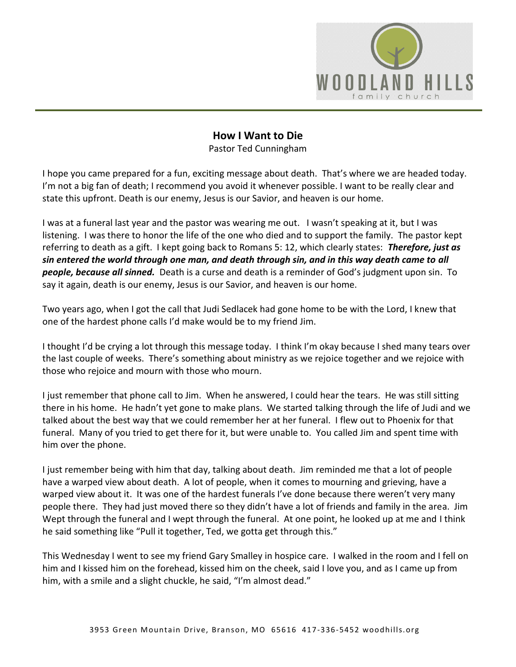

### **How I Want to Die**  Pastor Ted Cunningham

I hope you came prepared for a fun, exciting message about death. That's where we are headed today. I'm not a big fan of death; I recommend you avoid it whenever possible. I want to be really clear and state this upfront. Death is our enemy, Jesus is our Savior, and heaven is our home.

I was at a funeral last year and the pastor was wearing me out. I wasn't speaking at it, but I was listening. I was there to honor the life of the one who died and to support the family. The pastor kept referring to death as a gift. I kept going back to Romans 5: 12, which clearly states: *Therefore, just as sin entered the world through one man, and death through sin, and in this way death came to all people, because all sinned.*Death is a curse and death is a reminder of God's judgment upon sin. To say it again, death is our enemy, Jesus is our Savior, and heaven is our home.

Two years ago, when I got the call that Judi Sedlacek had gone home to be with the Lord, I knew that one of the hardest phone calls I'd make would be to my friend Jim.

I thought I'd be crying a lot through this message today. I think I'm okay because I shed many tears over the last couple of weeks. There's something about ministry as we rejoice together and we rejoice with those who rejoice and mourn with those who mourn.

I just remember that phone call to Jim. When he answered, I could hear the tears. He was still sitting there in his home. He hadn't yet gone to make plans. We started talking through the life of Judi and we talked about the best way that we could remember her at her funeral. I flew out to Phoenix for that funeral. Many of you tried to get there for it, but were unable to. You called Jim and spent time with him over the phone.

I just remember being with him that day, talking about death. Jim reminded me that a lot of people have a warped view about death. A lot of people, when it comes to mourning and grieving, have a warped view about it. It was one of the hardest funerals I've done because there weren't very many people there. They had just moved there so they didn't have a lot of friends and family in the area. Jim Wept through the funeral and I wept through the funeral. At one point, he looked up at me and I think he said something like "Pull it together, Ted, we gotta get through this."

This Wednesday I went to see my friend Gary Smalley in hospice care. I walked in the room and I fell on him and I kissed him on the forehead, kissed him on the cheek, said I love you, and as I came up from him, with a smile and a slight chuckle, he said, "I'm almost dead."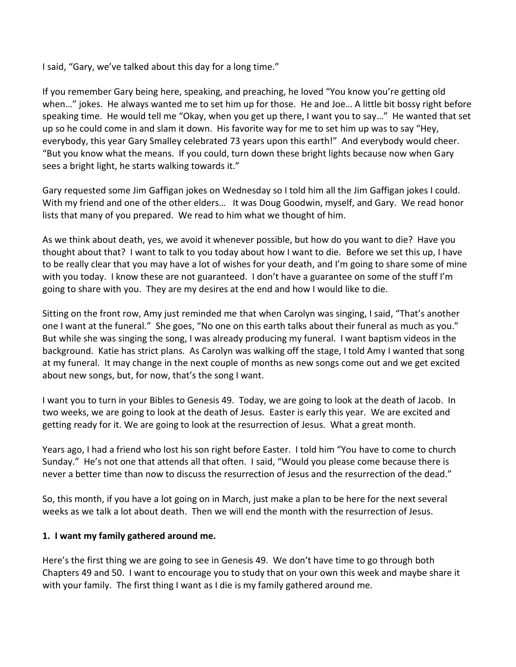I said, "Gary, we've talked about this day for a long time."

If you remember Gary being here, speaking, and preaching, he loved "You know you're getting old when…" jokes. He always wanted me to set him up for those. He and Joe… A little bit bossy right before speaking time. He would tell me "Okay, when you get up there, I want you to say…" He wanted that set up so he could come in and slam it down. His favorite way for me to set him up was to say "Hey, everybody, this year Gary Smalley celebrated 73 years upon this earth!" And everybody would cheer. "But you know what the means. If you could, turn down these bright lights because now when Gary sees a bright light, he starts walking towards it."

Gary requested some Jim Gaffigan jokes on Wednesday so I told him all the Jim Gaffigan jokes I could. With my friend and one of the other elders... It was Doug Goodwin, myself, and Gary. We read honor lists that many of you prepared. We read to him what we thought of him.

As we think about death, yes, we avoid it whenever possible, but how do you want to die? Have you thought about that? I want to talk to you today about how I want to die. Before we set this up, I have to be really clear that you may have a lot of wishes for your death, and I'm going to share some of mine with you today. I know these are not guaranteed. I don't have a guarantee on some of the stuff I'm going to share with you. They are my desires at the end and how I would like to die.

Sitting on the front row, Amy just reminded me that when Carolyn was singing, I said, "That's another one I want at the funeral." She goes, "No one on this earth talks about their funeral as much as you." But while she was singing the song, I was already producing my funeral. I want baptism videos in the background. Katie has strict plans. As Carolyn was walking off the stage, I told Amy I wanted that song at my funeral. It may change in the next couple of months as new songs come out and we get excited about new songs, but, for now, that's the song I want.

I want you to turn in your Bibles to Genesis 49. Today, we are going to look at the death of Jacob. In two weeks, we are going to look at the death of Jesus. Easter is early this year. We are excited and getting ready for it. We are going to look at the resurrection of Jesus. What a great month.

Years ago, I had a friend who lost his son right before Easter. I told him "You have to come to church Sunday." He's not one that attends all that often. I said, "Would you please come because there is never a better time than now to discuss the resurrection of Jesus and the resurrection of the dead."

So, this month, if you have a lot going on in March, just make a plan to be here for the next several weeks as we talk a lot about death. Then we will end the month with the resurrection of Jesus.

## **1. I want my family gathered around me.**

Here's the first thing we are going to see in Genesis 49. We don't have time to go through both Chapters 49 and 50. I want to encourage you to study that on your own this week and maybe share it with your family. The first thing I want as I die is my family gathered around me.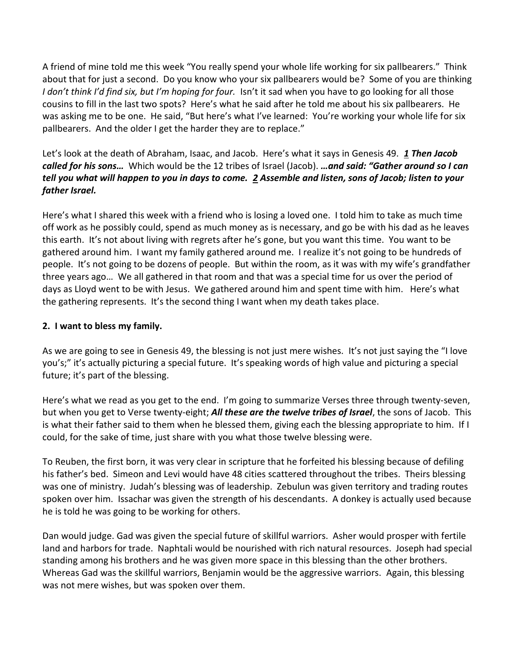A friend of mine told me this week "You really spend your whole life working for six pallbearers." Think about that for just a second. Do you know who your six pallbearers would be? Some of you are thinking *I don't think I'd find six, but I'm hoping for four.* Isn't it sad when you have to go looking for all those cousins to fill in the last two spots? Here's what he said after he told me about his six pallbearers. He was asking me to be one. He said, "But here's what I've learned: You're working your whole life for six pallbearers. And the older I get the harder they are to replace."

Let's look at the death of Abraham, Isaac, and Jacob. Here's what it says in Genesis 49. *[1](http://www.studylight.org/desk/?q=ge%2049:1&t1=en_niv&sr=1) Then Jacob called for his sons…* Which would be the 12 tribes of Israel (Jacob). *…and said: "Gather around so I can tell you what will happen to you in days to come. [2](http://www.studylight.org/desk/?q=ge%2049:2&t1=en_niv&sr=1) Assemble and listen, sons of Jacob; listen to your father Israel.*

Here's what I shared this week with a friend who is losing a loved one. I told him to take as much time off work as he possibly could, spend as much money as is necessary, and go be with his dad as he leaves this earth. It's not about living with regrets after he's gone, but you want this time. You want to be gathered around him. I want my family gathered around me. I realize it's not going to be hundreds of people. It's not going to be dozens of people. But within the room, as it was with my wife's grandfather three years ago… We all gathered in that room and that was a special time for us over the period of days as Lloyd went to be with Jesus. We gathered around him and spent time with him. Here's what the gathering represents. It's the second thing I want when my death takes place.

## **2. I want to bless my family.**

As we are going to see in Genesis 49, the blessing is not just mere wishes. It's not just saying the "I love you's;" it's actually picturing a special future. It's speaking words of high value and picturing a special future; it's part of the blessing.

Here's what we read as you get to the end. I'm going to summarize Verses three through twenty-seven, but when you get to Verse twenty-eight; *All these are the twelve tribes of Israel*, the sons of Jacob. This is what their father said to them when he blessed them, giving each the blessing appropriate to him. If I could, for the sake of time, just share with you what those twelve blessing were.

To Reuben, the first born, it was very clear in scripture that he forfeited his blessing because of defiling his father's bed. Simeon and Levi would have 48 cities scattered throughout the tribes. Theirs blessing was one of ministry. Judah's blessing was of leadership. Zebulun was given territory and trading routes spoken over him. Issachar was given the strength of his descendants. A donkey is actually used because he is told he was going to be working for others.

Dan would judge. Gad was given the special future of skillful warriors. Asher would prosper with fertile land and harbors for trade. Naphtali would be nourished with rich natural resources. Joseph had special standing among his brothers and he was given more space in this blessing than the other brothers. Whereas Gad was the skillful warriors, Benjamin would be the aggressive warriors. Again, this blessing was not mere wishes, but was spoken over them.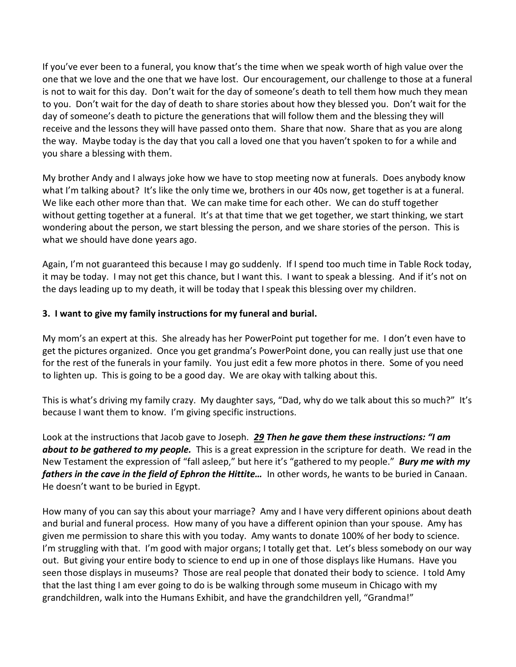If you've ever been to a funeral, you know that's the time when we speak worth of high value over the one that we love and the one that we have lost. Our encouragement, our challenge to those at a funeral is not to wait for this day. Don't wait for the day of someone's death to tell them how much they mean to you. Don't wait for the day of death to share stories about how they blessed you. Don't wait for the day of someone's death to picture the generations that will follow them and the blessing they will receive and the lessons they will have passed onto them. Share that now. Share that as you are along the way. Maybe today is the day that you call a loved one that you haven't spoken to for a while and you share a blessing with them.

My brother Andy and I always joke how we have to stop meeting now at funerals. Does anybody know what I'm talking about? It's like the only time we, brothers in our 40s now, get together is at a funeral. We like each other more than that. We can make time for each other. We can do stuff together without getting together at a funeral. It's at that time that we get together, we start thinking, we start wondering about the person, we start blessing the person, and we share stories of the person. This is what we should have done years ago.

Again, I'm not guaranteed this because I may go suddenly. If I spend too much time in Table Rock today, it may be today. I may not get this chance, but I want this. I want to speak a blessing. And if it's not on the days leading up to my death, it will be today that I speak this blessing over my children.

## **3. I want to give my family instructions for my funeral and burial.**

My mom's an expert at this. She already has her PowerPoint put together for me. I don't even have to get the pictures organized. Once you get grandma's PowerPoint done, you can really just use that one for the rest of the funerals in your family. You just edit a few more photos in there. Some of you need to lighten up. This is going to be a good day. We are okay with talking about this.

This is what's driving my family crazy. My daughter says, "Dad, why do we talk about this so much?" It's because I want them to know. I'm giving specific instructions.

Look at the instructions that Jacob gave to Joseph. *[29](http://www.studylight.org/desk/?q=ge%2049:29&t1=en_niv&sr=1) Then he gave them these instructions: "I am about to be gathered to my people.* This is a great expression in the scripture for death. We read in the New Testament the expression of "fall asleep," but here it's "gathered to my people." *Bury me with my fathers in the cave in the field of Ephron the Hittite…* In other words, he wants to be buried in Canaan. He doesn't want to be buried in Egypt.

How many of you can say this about your marriage? Amy and I have very different opinions about death and burial and funeral process. How many of you have a different opinion than your spouse. Amy has given me permission to share this with you today. Amy wants to donate 100% of her body to science. I'm struggling with that. I'm good with major organs; I totally get that. Let's bless somebody on our way out. But giving your entire body to science to end up in one of those displays like Humans. Have you seen those displays in museums? Those are real people that donated their body to science. I told Amy that the last thing I am ever going to do is be walking through some museum in Chicago with my grandchildren, walk into the Humans Exhibit, and have the grandchildren yell, "Grandma!"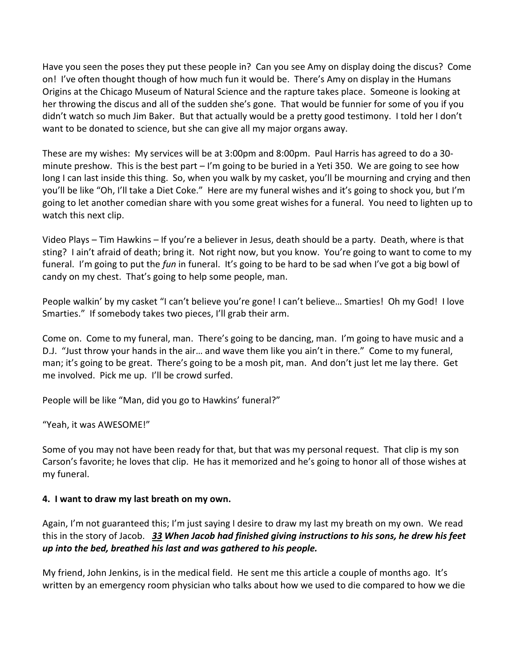Have you seen the poses they put these people in? Can you see Amy on display doing the discus? Come on! I've often thought though of how much fun it would be. There's Amy on display in the Humans Origins at the Chicago Museum of Natural Science and the rapture takes place. Someone is looking at her throwing the discus and all of the sudden she's gone. That would be funnier for some of you if you didn't watch so much Jim Baker. But that actually would be a pretty good testimony. I told her I don't want to be donated to science, but she can give all my major organs away.

These are my wishes: My services will be at 3:00pm and 8:00pm. Paul Harris has agreed to do a 30 minute preshow. This is the best part - I'm going to be buried in a Yeti 350. We are going to see how long I can last inside this thing. So, when you walk by my casket, you'll be mourning and crying and then you'll be like "Oh, I'll take a Diet Coke." Here are my funeral wishes and it's going to shock you, but I'm going to let another comedian share with you some great wishes for a funeral. You need to lighten up to watch this next clip.

Video Plays – Tim Hawkins – If you're a believer in Jesus, death should be a party. Death, where is that sting? I ain't afraid of death; bring it. Not right now, but you know. You're going to want to come to my funeral. I'm going to put the *fun* in funeral. It's going to be hard to be sad when I've got a big bowl of candy on my chest. That's going to help some people, man.

People walkin' by my casket "I can't believe you're gone! I can't believe... Smarties! Oh my God! I love Smarties." If somebody takes two pieces, I'll grab their arm.

Come on. Come to my funeral, man. There's going to be dancing, man. I'm going to have music and a D.J. "Just throw your hands in the air… and wave them like you ain't in there." Come to my funeral, man; it's going to be great. There's going to be a mosh pit, man. And don't just let me lay there. Get me involved. Pick me up. I'll be crowd surfed.

People will be like "Man, did you go to Hawkins' funeral?"

"Yeah, it was AWESOME!"

Some of you may not have been ready for that, but that was my personal request. That clip is my son Carson's favorite; he loves that clip. He has it memorized and he's going to honor all of those wishes at my funeral.

## **4. I want to draw my last breath on my own.**

Again, I'm not guaranteed this; I'm just saying I desire to draw my last my breath on my own. We read this in the story of Jacob. *[33](http://www.studylight.org/desk/?q=ge%2049:33&t1=en_niv&sr=1) When Jacob had finished giving instructions to his sons, he drew his feet up into the bed, breathed his last and was gathered to his people.*

My friend, John Jenkins, is in the medical field. He sent me this article a couple of months ago. It's written by an emergency room physician who talks about how we used to die compared to how we die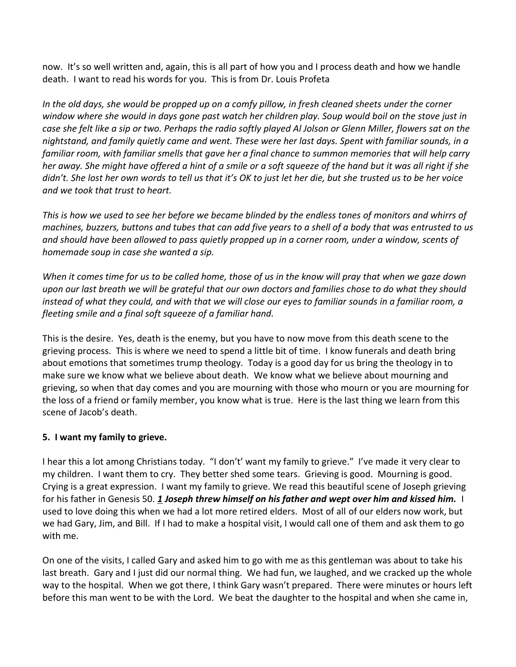now. It's so well written and, again, this is all part of how you and I process death and how we handle death. I want to read his words for you. This is from Dr. Louis Profeta

*In the old days, she would be propped up on a comfy pillow, in fresh cleaned sheets under the corner window where she would in days gone past watch her children play. Soup would boil on the stove just in case she felt like a sip or two. Perhaps the radio softly played Al Jolson or Glenn Miller, flowers sat on the nightstand, and family quietly came and went. These were her last days. Spent with familiar sounds, in a familiar room, with familiar smells that gave her a final chance to summon memories that will help carry her away. She might have offered a hint of a smile or a soft squeeze of the hand but it was all right if she didn't. She lost her own words to tell us that it's OK to just let her die, but she trusted us to be her voice and we took that trust to heart.* 

*This is how we used to see her before we became blinded by the endless tones of monitors and whirrs of machines, buzzers, buttons and tubes that can add five years to a shell of a body that was entrusted to us and should have been allowed to pass quietly propped up in a corner room, under a window, scents of homemade soup in case she wanted a sip.* 

*When it comes time for us to be called home, those of us in the know will pray that when we gaze down upon our last breath we will be grateful that our own doctors and families chose to do what they should instead of what they could, and with that we will close our eyes to familiar sounds in a familiar room, a fleeting smile and a final soft squeeze of a familiar hand.*

This is the desire. Yes, death is the enemy, but you have to now move from this death scene to the grieving process. This is where we need to spend a little bit of time. I know funerals and death bring about emotions that sometimes trump theology. Today is a good day for us bring the theology in to make sure we know what we believe about death. We know what we believe about mourning and grieving, so when that day comes and you are mourning with those who mourn or you are mourning for the loss of a friend or family member, you know what is true. Here is the last thing we learn from this scene of Jacob's death.

## **5. I want my family to grieve.**

I hear this a lot among Christians today. "I don't' want my family to grieve." I've made it very clear to my children. I want them to cry. They better shed some tears. Grieving is good. Mourning is good. Crying is a great expression. I want my family to grieve. We read this beautiful scene of Joseph grieving for his father in Genesis 50. *[1](http://www.studylight.org/desk/?q=ge%2050:1&t1=en_niv&sr=1) Joseph threw himself on his father and wept over him and kissed him.* I used to love doing this when we had a lot more retired elders. Most of all of our elders now work, but we had Gary, Jim, and Bill. If I had to make a hospital visit, I would call one of them and ask them to go with me.

On one of the visits, I called Gary and asked him to go with me as this gentleman was about to take his last breath. Gary and I just did our normal thing. We had fun, we laughed, and we cracked up the whole way to the hospital. When we got there, I think Gary wasn't prepared. There were minutes or hours left before this man went to be with the Lord. We beat the daughter to the hospital and when she came in,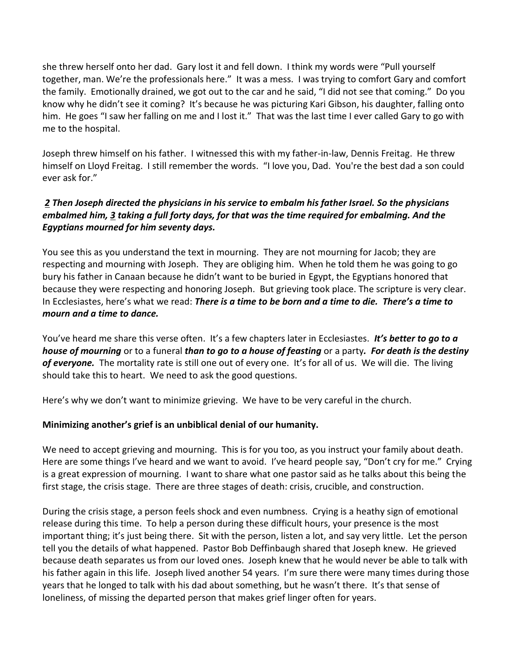she threw herself onto her dad. Gary lost it and fell down. I think my words were "Pull yourself together, man. We're the professionals here." It was a mess. I was trying to comfort Gary and comfort the family. Emotionally drained, we got out to the car and he said, "I did not see that coming." Do you know why he didn't see it coming? It's because he was picturing Kari Gibson, his daughter, falling onto him. He goes "I saw her falling on me and I lost it." That was the last time I ever called Gary to go with me to the hospital.

Joseph threw himself on his father. I witnessed this with my father-in-law, Dennis Freitag. He threw himself on Lloyd Freitag. I still remember the words. "I love you, Dad. You're the best dad a son could ever ask for."

# *[2](http://www.studylight.org/desk/?q=ge%2050:2&t1=en_niv&sr=1) Then Joseph directed the physicians in his service to embalm his father Israel. So the physicians embalmed him, [3](http://www.studylight.org/desk/?q=ge%2050:3&t1=en_niv&sr=1) taking a full forty days, for that was the time required for embalming. And the Egyptians mourned for him seventy days.*

You see this as you understand the text in mourning. They are not mourning for Jacob; they are respecting and mourning with Joseph. They are obliging him. When he told them he was going to go bury his father in Canaan because he didn't want to be buried in Egypt, the Egyptians honored that because they were respecting and honoring Joseph. But grieving took place. The scripture is very clear. In Ecclesiastes, here's what we read: *There is a time to be born and a time to die. There's a time to mourn and a time to dance.* 

You've heard me share this verse often. It's a few chapters later in Ecclesiastes. *It's better to go to a house of mourning* or to a funeral *than to go to a house of feasting* or a party*. For death is the destiny of everyone.* The mortality rate is still one out of every one. It's for all of us. We will die. The living should take this to heart. We need to ask the good questions.

Here's why we don't want to minimize grieving. We have to be very careful in the church.

## **Minimizing another's grief is an unbiblical denial of our humanity.**

We need to accept grieving and mourning. This is for you too, as you instruct your family about death. Here are some things I've heard and we want to avoid. I've heard people say, "Don't cry for me." Crying is a great expression of mourning. I want to share what one pastor said as he talks about this being the first stage, the crisis stage. There are three stages of death: crisis, crucible, and construction.

During the crisis stage, a person feels shock and even numbness. Crying is a heathy sign of emotional release during this time. To help a person during these difficult hours, your presence is the most important thing; it's just being there. Sit with the person, listen a lot, and say very little. Let the person tell you the details of what happened. Pastor Bob Deffinbaugh shared that Joseph knew. He grieved because death separates us from our loved ones. Joseph knew that he would never be able to talk with his father again in this life. Joseph lived another 54 years. I'm sure there were many times during those years that he longed to talk with his dad about something, but he wasn't there. It's that sense of loneliness, of missing the departed person that makes grief linger often for years.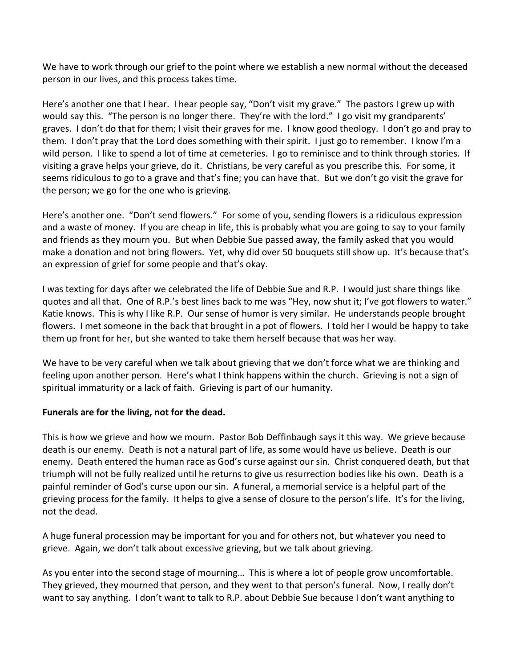We have to work through our grief to the point where we establish a new normal without the deceased person in our lives, and this process takes time.

Here's another one that I hear. I hear people say, "Don't visit my grave." The pastors I grew up with would say this. "The person is no longer there. They're with the lord." I go visit my grandparents' graves. I don't do that for them; I visit their graves for me. I know good theology. I don't go and pray to them. I don't pray that the Lord does something with their spirit. I just go to remember. I know I'm a wild person. I like to spend a lot of time at cemeteries. I go to reminisce and to think through stories. If visiting a grave helps your grieve, do it. Christians, be very careful as you prescribe this. For some, it seems ridiculous to go to a grave and that's fine; you can have that. But we don't go visit the grave for the person; we go for the one who is grieving.

Here's another one. "Don't send flowers." For some of you, sending flowers is a ridiculous expression and a waste of money. If you are cheap in life, this is probably what you are going to say to your family and friends as they mourn you. But when Debbie Sue passed away, the family asked that you would make a donation and not bring flowers. Yet, why did over 50 bouquets still show up. It's because that's an expression of grief for some people and that's okay.

I was texting for days after we celebrated the life of Debbie Sue and R.P. I would just share things like quotes and all that. One of R.P.'s best lines back to me was "Hey, now shut it; I've got flowers to water." Katie knows. This is why I like R.P. Our sense of humor is very similar. He understands people brought flowers. I met someone in the back that brought in a pot of flowers. I told her I would be happy to take them up front for her, but she wanted to take them herself because that was her way.

We have to be very careful when we talk about grieving that we don't force what we are thinking and feeling upon another person. Here's what I think happens within the church. Grieving is not a sign of spiritual immaturity or a lack of faith. Grieving is part of our humanity.

## **Funerals are for the living, not for the dead.**

This is how we grieve and how we mourn. Pastor Bob Deffinbaugh says it this way. We grieve because death is our enemy. Death is not a natural part of life, as some would have us believe. Death is our enemy. Death entered the human race as God's curse against our sin. Christ conquered death, but that triumph will not be fully realized until he returns to give us resurrection bodies like his own. Death is a painful reminder of God's curse upon our sin. A funeral, a memorial service is a helpful part of the grieving process for the family. It helps to give a sense of closure to the person's life. It's for the living, not the dead.

A huge funeral procession may be important for you and for others not, but whatever you need to grieve. Again, we don't talk about excessive grieving, but we talk about grieving.

As you enter into the second stage of mourning… This is where a lot of people grow uncomfortable. They grieved, they mourned that person, and they went to that person's funeral. Now, I really don't want to say anything. I don't want to talk to R.P. about Debbie Sue because I don't want anything to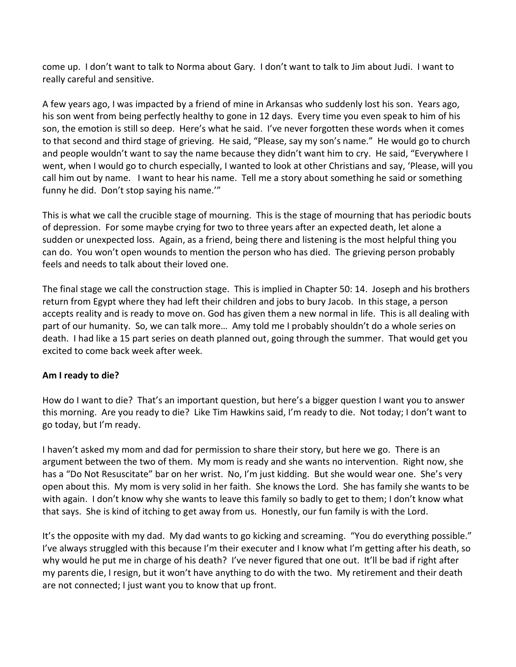come up. I don't want to talk to Norma about Gary. I don't want to talk to Jim about Judi. I want to really careful and sensitive.

A few years ago, I was impacted by a friend of mine in Arkansas who suddenly lost his son. Years ago, his son went from being perfectly healthy to gone in 12 days. Every time you even speak to him of his son, the emotion is still so deep. Here's what he said. I've never forgotten these words when it comes to that second and third stage of grieving. He said, "Please, say my son's name." He would go to church and people wouldn't want to say the name because they didn't want him to cry. He said, "Everywhere I went, when I would go to church especially, I wanted to look at other Christians and say, 'Please, will you call him out by name. I want to hear his name. Tell me a story about something he said or something funny he did. Don't stop saying his name.'"

This is what we call the crucible stage of mourning. This is the stage of mourning that has periodic bouts of depression. For some maybe crying for two to three years after an expected death, let alone a sudden or unexpected loss. Again, as a friend, being there and listening is the most helpful thing you can do. You won't open wounds to mention the person who has died. The grieving person probably feels and needs to talk about their loved one.

The final stage we call the construction stage. This is implied in Chapter 50: 14. Joseph and his brothers return from Egypt where they had left their children and jobs to bury Jacob. In this stage, a person accepts reality and is ready to move on. God has given them a new normal in life. This is all dealing with part of our humanity. So, we can talk more… Amy told me I probably shouldn't do a whole series on death. I had like a 15 part series on death planned out, going through the summer. That would get you excited to come back week after week.

## **Am I ready to die?**

How do I want to die? That's an important question, but here's a bigger question I want you to answer this morning. Are you ready to die? Like Tim Hawkins said, I'm ready to die. Not today; I don't want to go today, but I'm ready.

I haven't asked my mom and dad for permission to share their story, but here we go. There is an argument between the two of them. My mom is ready and she wants no intervention. Right now, she has a "Do Not Resuscitate" bar on her wrist. No, I'm just kidding. But she would wear one. She's very open about this. My mom is very solid in her faith. She knows the Lord. She has family she wants to be with again. I don't know why she wants to leave this family so badly to get to them; I don't know what that says. She is kind of itching to get away from us. Honestly, our fun family is with the Lord.

It's the opposite with my dad. My dad wants to go kicking and screaming. "You do everything possible." I've always struggled with this because I'm their executer and I know what I'm getting after his death, so why would he put me in charge of his death? I've never figured that one out. It'll be bad if right after my parents die, I resign, but it won't have anything to do with the two. My retirement and their death are not connected; I just want you to know that up front.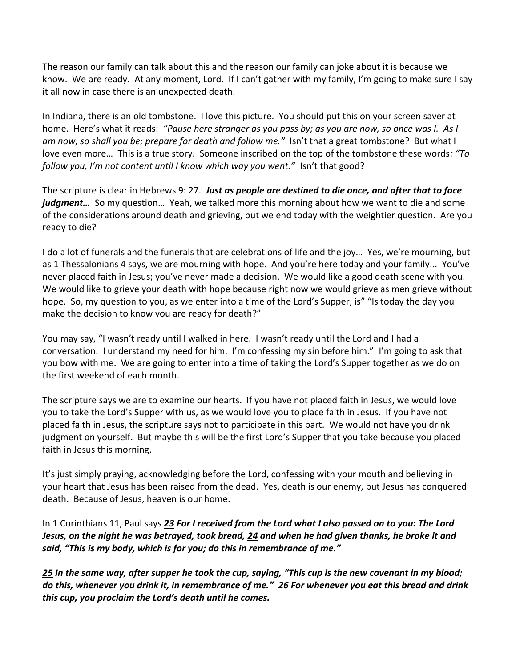The reason our family can talk about this and the reason our family can joke about it is because we know. We are ready. At any moment, Lord. If I can't gather with my family, I'm going to make sure I say it all now in case there is an unexpected death.

In Indiana, there is an old tombstone. I love this picture. You should put this on your screen saver at home. Here's what it reads: *"Pause here stranger as you pass by; as you are now, so once was I. As I am now, so shall you be; prepare for death and follow me."* Isn't that a great tombstone? But what I love even more… This is a true story. Someone inscribed on the top of the tombstone these words*: "To follow you, I'm not content until I know which way you went."* Isn't that good?

The scripture is clear in Hebrews 9: 27. *Just as people are destined to die once, and after that to face judgment…* So my question… Yeah, we talked more this morning about how we want to die and some of the considerations around death and grieving, but we end today with the weightier question. Are you ready to die?

I do a lot of funerals and the funerals that are celebrations of life and the joy… Yes, we're mourning, but as 1 Thessalonians 4 says, we are mourning with hope. And you're here today and your family... You've never placed faith in Jesus; you've never made a decision. We would like a good death scene with you. We would like to grieve your death with hope because right now we would grieve as men grieve without hope. So, my question to you, as we enter into a time of the Lord's Supper, is" "Is today the day you make the decision to know you are ready for death?"

You may say, "I wasn't ready until I walked in here. I wasn't ready until the Lord and I had a conversation. I understand my need for him. I'm confessing my sin before him." I'm going to ask that you bow with me. We are going to enter into a time of taking the Lord's Supper together as we do on the first weekend of each month.

The scripture says we are to examine our hearts. If you have not placed faith in Jesus, we would love you to take the Lord's Supper with us, as we would love you to place faith in Jesus. If you have not placed faith in Jesus, the scripture says not to participate in this part. We would not have you drink judgment on yourself. But maybe this will be the first Lord's Supper that you take because you placed faith in Jesus this morning.

It's just simply praying, acknowledging before the Lord, confessing with your mouth and believing in your heart that Jesus has been raised from the dead. Yes, death is our enemy, but Jesus has conquered death. Because of Jesus, heaven is our home.

In 1 Corinthians 11, Paul says *[23](http://www.studylight.org/desk/?q=1co%2011:23&t1=en_niv&sr=1) For I received from the Lord what I also passed on to you: The Lord Jesus, on the night he was betrayed, took bread, [24](http://www.studylight.org/desk/?q=1co%2011:24&t1=en_niv&sr=1) and when he had given thanks, he broke it and said, "This is my body, which is for you; do this in remembrance of me."*

*[25](http://www.studylight.org/desk/?q=1co%2011:25&t1=en_niv&sr=1) In the same way, after supper he took the cup, saying, "This cup is the new covenant in my blood; do this, whenever you drink it, in remembrance of me." [26](http://www.studylight.org/desk/?q=1co%2011:26&t1=en_niv&sr=1) For whenever you eat this bread and drink this cup, you proclaim the Lord's death until he comes.*